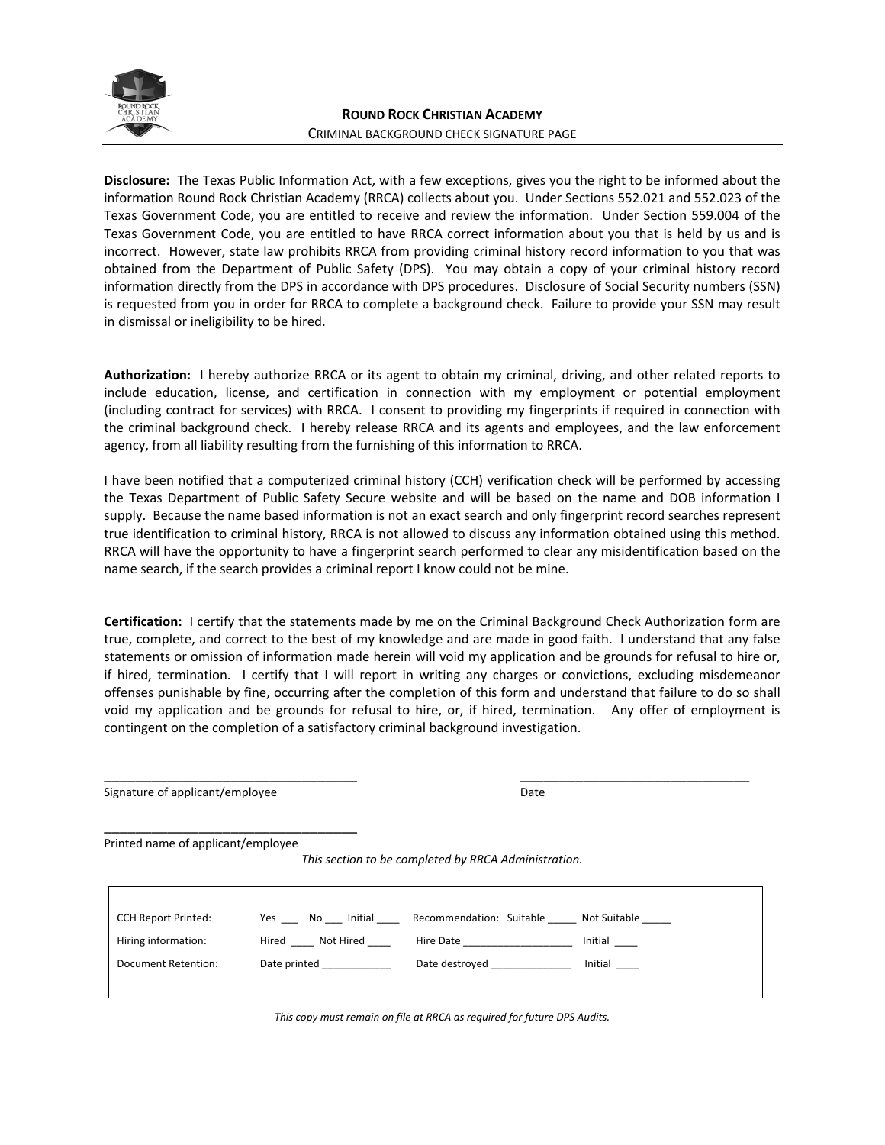

**Disclosure:** The Texas Public Information Act, with a few exceptions, gives you the right to be informed about the information Round Rock Christian Academy (RRCA) collects about you. Under Sections 552.021 and 552.023 of the Texas Government Code, you are entitled to receive and review the information. Under Section 559.004 of the Texas Government Code, you are entitled to have RRCA correct information about you that is held by us and is incorrect. However, state law prohibits RRCA from providing criminal history record information to you that was obtained from the Department of Public Safety (DPS). You may obtain a copy of your criminal history record information directly from the DPS in accordance with DPS procedures. Disclosure of Social Security numbers (SSN) is requested from you in order for RRCA to complete a background check. Failure to provide your SSN may result in dismissal or ineligibility to be hired.

**Authorization:** I hereby authorize RRCA or its agent to obtain my criminal, driving, and other related reports to include education, license, and certification in connection with my employment or potential employment (including contract for services) with RRCA. I consent to providing my fingerprints if required in connection with the criminal background check. I hereby release RRCA and its agents and employees, and the law enforcement agency, from all liability resulting from the furnishing of this information to RRCA.

I have been notified that a computerized criminal history (CCH) verification check will be performed by accessing the Texas Department of Public Safety Secure website and will be based on the name and DOB information I supply. Because the name based information is not an exact search and only fingerprint record searches represent true identification to criminal history, RRCA is not allowed to discuss any information obtained using this method. RRCA will have the opportunity to have a fingerprint search performed to clear any misidentification based on the name search, if the search provides a criminal report I know could not be mine.

**Certification:** I certify that the statements made by me on the Criminal Background Check Authorization form are true, complete, and correct to the best of my knowledge and are made in good faith. I understand that any false statements or omission of information made herein will void my application and be grounds for refusal to hire or, if hired, termination. I certify that I will report in writing any charges or convictions, excluding misdemeanor offenses punishable by fine, occurring after the completion of this form and understand that failure to do so shall void my application and be grounds for refusal to hire, or, if hired, termination. Any offer of employment is contingent on the completion of a satisfactory criminal background investigation.

| Signature of applicant/employee    |                                                                                                                | Date                                                                                                           |                |  |
|------------------------------------|----------------------------------------------------------------------------------------------------------------|----------------------------------------------------------------------------------------------------------------|----------------|--|
| Printed name of applicant/employee |                                                                                                                | This section to be completed by RRCA Administration.                                                           |                |  |
|                                    |                                                                                                                |                                                                                                                |                |  |
| <b>CCH Report Printed:</b>         |                                                                                                                | Yes No Initial Recommendation: Suitable Not Suitable                                                           |                |  |
| Hiring information:                | Hired Not Hired                                                                                                | Hire Date and the state of the state of the state of the state of the state of the state of the state of the s | Initial $\_\_$ |  |
| Document Retention:                | Date printed and the printed and the printed and the printed and the printed and the printed and the printed a |                                                                                                                | Initial        |  |
|                                    |                                                                                                                |                                                                                                                |                |  |
|                                    |                                                                                                                |                                                                                                                |                |  |

\_\_\_\_\_\_\_\_\_\_\_\_\_\_\_\_\_\_\_\_\_\_\_\_\_\_\_\_\_\_\_\_ \_\_\_\_\_\_\_\_\_\_\_\_\_\_\_\_\_\_\_\_\_\_\_\_\_\_\_\_\_

*This copy must remain on file at RRCA as required for future DPS Audits.*